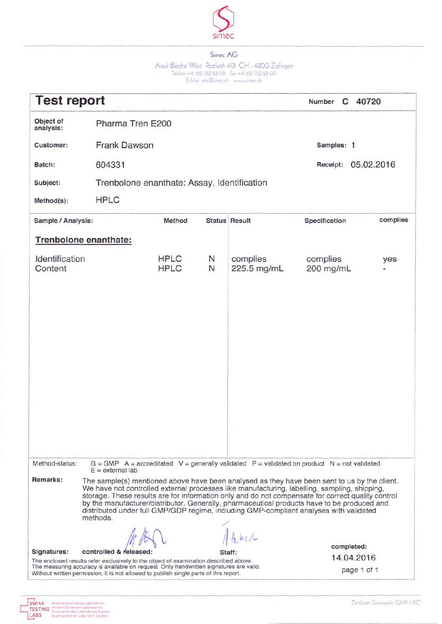

Areal Bleiche West Postfach 413 CH - 4800 Zofingen<br>Telefon +41 62 752 83 08 Fax +41 62 752 83 09<br>E-Mail info@simecch www.uimec.ch

| <b>Test report</b>        |                                                                                                                                                                                                                                                                                                                                                                                                                                                                                                        |                            |        |                         | C 40720<br>Number                                                                             |            |
|---------------------------|--------------------------------------------------------------------------------------------------------------------------------------------------------------------------------------------------------------------------------------------------------------------------------------------------------------------------------------------------------------------------------------------------------------------------------------------------------------------------------------------------------|----------------------------|--------|-------------------------|-----------------------------------------------------------------------------------------------|------------|
| Object of<br>analysis:    | Pharma Tren E200                                                                                                                                                                                                                                                                                                                                                                                                                                                                                       |                            |        |                         |                                                                                               |            |
| Customer:                 | <b>Frank Dawson</b>                                                                                                                                                                                                                                                                                                                                                                                                                                                                                    |                            |        |                         | Samples: 1                                                                                    |            |
| Batch:                    | 604331                                                                                                                                                                                                                                                                                                                                                                                                                                                                                                 |                            |        |                         | Receipt:                                                                                      | 05.02.2016 |
| Subject:                  | Trenbolone enanthate: Assay, Identification                                                                                                                                                                                                                                                                                                                                                                                                                                                            |                            |        |                         |                                                                                               |            |
| Method(s):                | <b>HPLC</b>                                                                                                                                                                                                                                                                                                                                                                                                                                                                                            |                            |        |                         |                                                                                               |            |
| Sample / Analysis:        |                                                                                                                                                                                                                                                                                                                                                                                                                                                                                                        | Method                     |        | <b>Status Result</b>    | Specification                                                                                 | complies   |
|                           | Trenbolone enanthate:                                                                                                                                                                                                                                                                                                                                                                                                                                                                                  |                            |        |                         |                                                                                               |            |
| Identification<br>Content |                                                                                                                                                                                                                                                                                                                                                                                                                                                                                                        | <b>HPLC</b><br><b>HPLC</b> | N<br>N | complies<br>225.5 mg/mL | complies<br>200 mg/mL                                                                         | yes        |
|                           |                                                                                                                                                                                                                                                                                                                                                                                                                                                                                                        |                            |        |                         |                                                                                               |            |
|                           |                                                                                                                                                                                                                                                                                                                                                                                                                                                                                                        |                            |        |                         |                                                                                               |            |
|                           |                                                                                                                                                                                                                                                                                                                                                                                                                                                                                                        |                            |        |                         |                                                                                               |            |
|                           |                                                                                                                                                                                                                                                                                                                                                                                                                                                                                                        |                            |        |                         |                                                                                               |            |
|                           |                                                                                                                                                                                                                                                                                                                                                                                                                                                                                                        |                            |        |                         |                                                                                               |            |
|                           |                                                                                                                                                                                                                                                                                                                                                                                                                                                                                                        |                            |        |                         |                                                                                               |            |
|                           |                                                                                                                                                                                                                                                                                                                                                                                                                                                                                                        |                            |        |                         |                                                                                               |            |
|                           |                                                                                                                                                                                                                                                                                                                                                                                                                                                                                                        |                            |        |                         |                                                                                               |            |
|                           |                                                                                                                                                                                                                                                                                                                                                                                                                                                                                                        |                            |        |                         |                                                                                               |            |
| Method-status:            |                                                                                                                                                                                                                                                                                                                                                                                                                                                                                                        |                            |        |                         | $G = GMP$ A = accreditated V = generally validated P = validated on product N = not validated |            |
|                           | $E =$ external lab                                                                                                                                                                                                                                                                                                                                                                                                                                                                                     |                            |        |                         |                                                                                               |            |
| Remarks:                  | The sample(s) mentioned above have been analysed as they have been sent to us by the client.<br>We have not controlled external processes like manufacturing, labelling, sampling, shipping,<br>storage. These results are for information only and do not compensate for correct quality control<br>by the manufacturer/distributor. Generally, pharmaceutical products have to be produced and<br>distributed under full GMP/GDP regime, including GMP-compliant analyses with validated<br>methods. |                            |        |                         |                                                                                               |            |
|                           |                                                                                                                                                                                                                                                                                                                                                                                                                                                                                                        |                            |        | h h                     |                                                                                               |            |
| Signatures:               | controlled &                                                                                                                                                                                                                                                                                                                                                                                                                                                                                           |                            |        |                         | completed:                                                                                    |            |
|                           | The enclosed results refer exclusively to the object of examination described above.<br>The measuring accuracy is available on request. Only handwritten signatures are valid.<br>Without written permission, it is not allowed to publish single parts of this report.                                                                                                                                                                                                                                |                            |        |                         | 14.04.2016<br>page 1 of 1                                                                     |            |
|                           |                                                                                                                                                                                                                                                                                                                                                                                                                                                                                                        |                            |        |                         |                                                                                               |            |

Zenifiziert Swissmedic GMP / PIC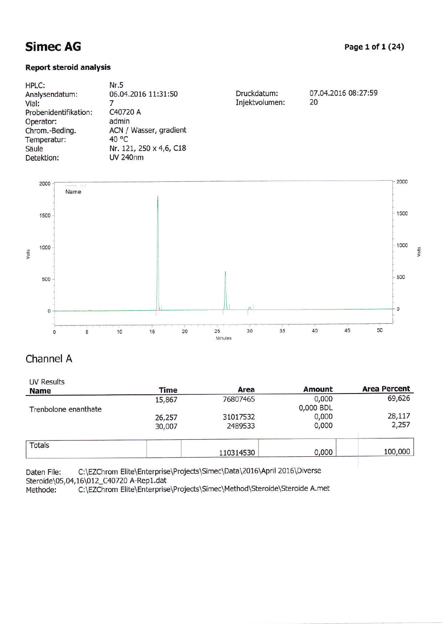### Report steraid anälysis

| Nr.5                    |                     |                               |
|-------------------------|---------------------|-------------------------------|
|                         |                     | 07.04.2016 08:27:59           |
|                         |                     | 20                            |
| C40720 A                |                     |                               |
| admin                   |                     |                               |
| ACN / Wasser, gradient  |                     |                               |
| 40 °C                   |                     |                               |
| Nr. 121, 250 x 4,6, C18 |                     |                               |
| <b>UV 240nm</b>         |                     |                               |
|                         | 06.04.2016 11:31:50 | Druckdatum:<br>Injektvolumen: |



### channel A

| UV Results<br><b>Name</b> | <b>Time</b> | Area      | <b>Amount</b> | <b>Area Percent</b> |
|---------------------------|-------------|-----------|---------------|---------------------|
|                           | 15,867      | 76807465  | 0,000         | 69,626              |
| Trenbolone enanthate      |             |           | 0,000 BDL     |                     |
|                           | 26,257      | 31017532  | 0,000         | 28,117              |
|                           | 30,007      | 2489533   | 0,000         | 2,257               |
| <b>Totals</b>             |             |           |               |                     |
|                           |             | 110314530 | 0,000         | 100,000             |

Daten File: C:\EZChrom Elite\Enterprise\Projects\Simec\Data\2016\April 2016\Diverse Steroide\05,04,16\012\_C40720 A-Rep1.dat<br>Methode: C:\EZChrom Elite\Enterprise

C:\EZChrom Elite\Enterprise\Projects\Simec\Method\Steroide\Steroide A.met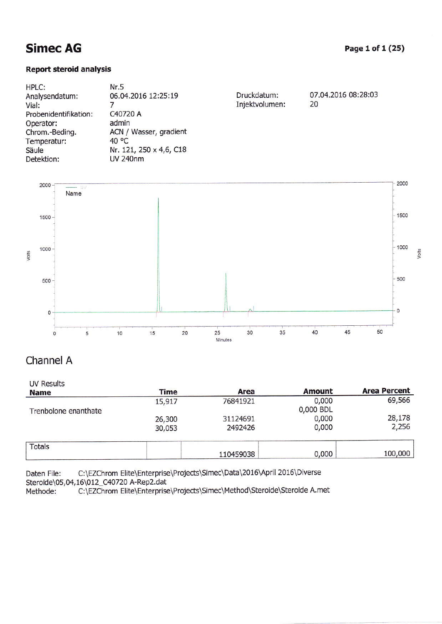### **Report steroid analysis**

| HPLC:                 | Nr.5                    |                |                     |
|-----------------------|-------------------------|----------------|---------------------|
| Analysendatum:        | 06.04.2016 12:25:19     | Druckdatum:    | 07.04.2016 08:28:03 |
| Vial:                 |                         | Injektvolumen: | 20                  |
| Probenidentifikation: | C40720 A                |                |                     |
| Operator:             | admin                   |                |                     |
| Chrom.-Beding.        | ACN / Wasser, gradient  |                |                     |
| Temperatur:           | 40 °C                   |                |                     |
| Säule                 | Nr. 121, 250 x 4,6, C18 |                |                     |
| Detektion:            | UV 240nm                |                |                     |
|                       |                         |                |                     |



## Channel A

| <b>UV Results</b>    |        |           |               |                     |
|----------------------|--------|-----------|---------------|---------------------|
| <b>Name</b>          | Time   | Area      | <b>Amount</b> | <b>Area Percent</b> |
|                      | 15,917 | 76841921  | 0,000         | 69,566              |
| Trenbolone enanthate |        |           | 0,000 BDL     |                     |
|                      | 26,300 | 31124691  | 0,000         | 28,178              |
|                      | 30,053 | 2492426   | 0,000         | 2,256               |
| <b>Totals</b>        |        |           |               |                     |
|                      |        | 110459038 | 0,000         | 100,000             |

C:\EZChrom Elite\Enterprise\Projects\Simec\Data\2016\April 2016\Diverse Daten File: Steroide\05,04,16\012\_C40720 A-Rep2.dat

C:\EZChrom Elite\Enterprise\Projects\Simec\Method\Steroide\Steroide A.met Methode: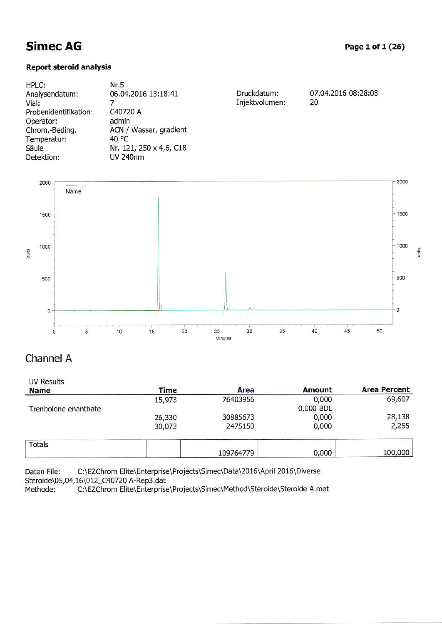### Report steroid analysis

| 07.04.2016 08:28:08<br>Druckdatum: |
|------------------------------------|
| Injektvolumen:<br>20               |
|                                    |
|                                    |
|                                    |
|                                    |
|                                    |
|                                    |
|                                    |



### Channel A

| <b>UV Results</b><br><b>Name</b> | Time   | Area      | <b>Amount</b> | <b>Area Percent</b> |
|----------------------------------|--------|-----------|---------------|---------------------|
|                                  | 15,973 | 76403956  | 0,000         | 69,607              |
| Trenbolone enanthate             |        |           | 0,000 BDL     |                     |
|                                  | 26,330 | 30885673  | 0,000         | 28,138              |
|                                  | 30,073 | 2475150   | 0,000         | 2,255               |
| <b>Totals</b>                    |        |           |               |                     |
|                                  |        | 109764779 | 0,000         | 100,000             |

Daten File: C:\EZChrom Elite\Enterprise\Projects\Simec\Data\2016\April 2016\Diverse

Steroide\05,04,16\012\_C40720 A-Rep3.dat<br>Methode: C:\EZChrom Elite\Enterprise C:\EZChrom Elite\Enterprise\Projects\Simec\Method\Steroide\Steroide A.met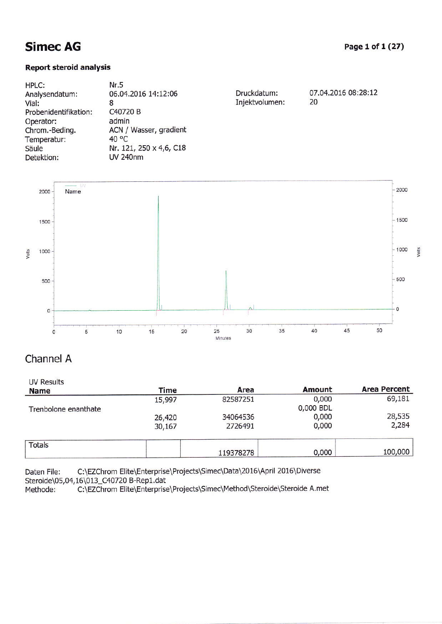### **Report steroid analysis**

| HPLC:                 | Nr.5                    |                |                     |
|-----------------------|-------------------------|----------------|---------------------|
| Analysendatum:        | 06.04.2016 14:12:06     | Druckdatum:    | 07.04.2016 08:28:12 |
| Vial:                 | 8                       | Injektvolumen: | 20                  |
| Probenidentifikation: | C40720 B                |                |                     |
| Operator:             | admin                   |                |                     |
| Chrom.-Beding.        | ACN / Wasser, gradient  |                |                     |
| Temperatur:           | 40 °C                   |                |                     |
| Säule                 | Nr. 121, 250 x 4,6, C18 |                |                     |
| Detektion:            | <b>UV 240nm</b>         |                |                     |
|                       |                         |                |                     |



## Channel A

| <b>UV Results</b><br><b>Name</b> | Time   | Area      | <b>Amount</b> | <b>Area Percent</b> |
|----------------------------------|--------|-----------|---------------|---------------------|
|                                  | 15,997 | 82587251  | 0,000         | 69,181              |
| Trenbolone enanthate             |        |           | 0,000 BDL     |                     |
|                                  | 26,420 | 34064536  | 0,000         | 28,535              |
|                                  | 30,167 | 2726491   | 0,000         | 2,284               |
| <b>Totals</b>                    |        |           |               |                     |
|                                  |        | 119378278 | 0,000         | 100,000             |

Daten File: C:\EZChrom Elite\Enterprise\Projects\Simec\Data\2016\April 2016\Diverse Steroide\05,04,16\013\_C40720 B-Rep1.dat

C:\EZChrom Elite\Enterprise\Projects\Simec\Method\Steroide\Steroide A.met Methode: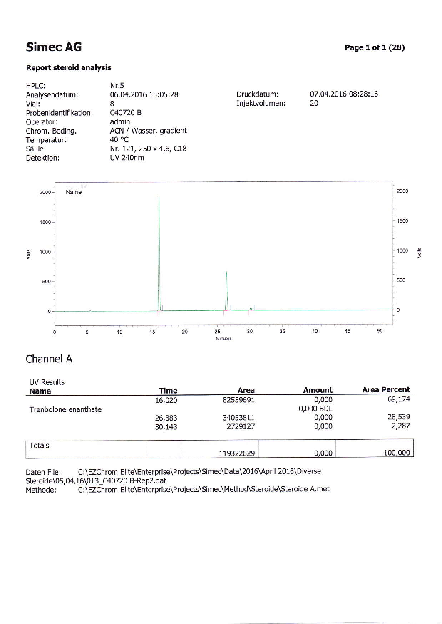### Report steroid analysis

| <b>HPLC:</b>          | Nr.5                    |                |                     |
|-----------------------|-------------------------|----------------|---------------------|
| Analysendatum:        | 06.04.2016 15:05:28     | Druckdatum:    | 07.04.2016 08:28:16 |
| Vial:                 |                         | Injektvolumen: | 20                  |
| Probenidentifikation: | C40720 B                |                |                     |
| Operator:             | admin                   |                |                     |
| Chrom.-Beding.        | ACN / Wasser, gradient  |                |                     |
| Temperatur:           | 40 $\degree$ C          |                |                     |
| Säule                 | Nr. 121, 250 x 4,6, C18 |                |                     |
| Detektion:            | <b>UV 240nm</b>         |                |                     |
|                       |                         |                |                     |



## Channel A

| UV Results<br><b>Name</b> | Time   | Area      | <b>Amount</b> | <b>Area Percent</b> |
|---------------------------|--------|-----------|---------------|---------------------|
|                           | 16,020 | 82539691  | 0,000         | 69,174              |
| Trenbolone enanthate      |        |           | 0,000 BDL     |                     |
|                           | 26,383 | 34053811  | 0,000         | 28,539              |
|                           | 30,143 | 2729127   | 0,000         | 2,287               |
| <b>Totals</b>             |        |           |               |                     |
|                           |        | 119322629 | 0,000         | 100,000             |

Daten File: C:\EZChrom Elite\Enterprise\Projects\Simec\Data\2016\April 2016\Diverse Steroide\05,04,16\013\_C40720 B-Rep2.dat<br>Methode: C:\EZChrom Elite\Enterprise

C:\EZChrom Elite\Enterprise\Projects\Simec\Method\Steroide\Steroide A.met